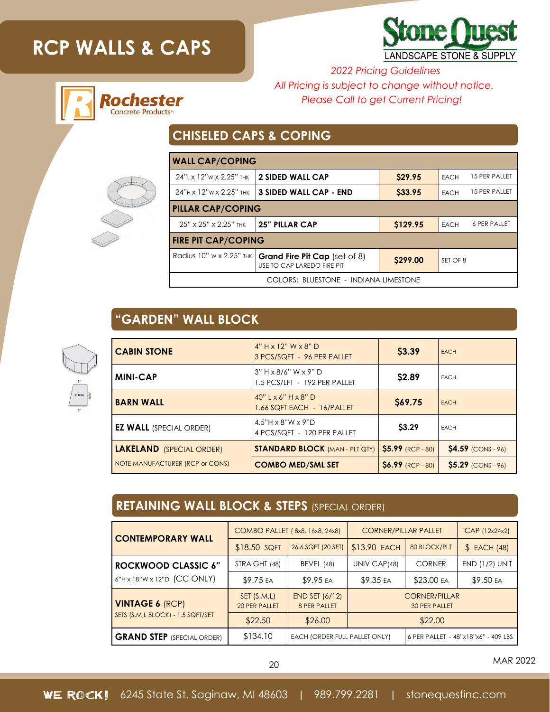# **RCP WALLS & CAPS**

Rochester **Concrete Products** 



*2022 Pricing Guidelines All Pricing is subject to change without notice. Please Call to get Current Pricing!*

### **CHISELED CAPS & COPING**

| <b>WALL CAP/COPING</b>                |                                                             |          |                              |  |  |
|---------------------------------------|-------------------------------------------------------------|----------|------------------------------|--|--|
| 24" x 12"w x 2.25" THK                | 2 SIDED WALL CAP                                            | \$29.95  | 15 PER PALLET<br><b>EACH</b> |  |  |
| 24"H x 12"W x 2.25" THK               | <b>3 SIDED WALL CAP - END</b>                               | S33.95   | 15 PER PALLET<br><b>EACH</b> |  |  |
| <b>PILLAR CAP/COPING</b>              |                                                             |          |                              |  |  |
| 25" x 25" x 2.25" THK                 | 25" PILLAR CAP                                              | \$129.95 | 6 PER PALLET<br><b>EACH</b>  |  |  |
| <b>FIRE PIT CAP/COPING</b>            |                                                             |          |                              |  |  |
| Radius 10" w x 2.25" THK              | Grand Fire Pit Cap (set of 8)<br>USE TO CAP LAREDO FIRE PIT | \$299.00 | SET OF 8                     |  |  |
| COLORS: BLUESTONE - INDIANA LIMESTONE |                                                             |          |                              |  |  |

## **"GARDEN" WALL BLOCK**



| <b>CABIN STONE</b>              | $4" H \times 12" W \times 8" D$<br>3 PCS/SQFT - 96 PER PALLET    | \$3.39             | <b>EACH</b>               |
|---------------------------------|------------------------------------------------------------------|--------------------|---------------------------|
| <b>MINI-CAP</b>                 | $3" H \times 8/6" W \times 9" D$<br>1.5 PCS/LFT - 192 PER PALLET | \$2.89             | <b>EACH</b>               |
| <b>BARN WALL</b>                | $40"$ L x 6" H x 8" D<br>1.66 SQFT EACH - 16/PALLET              | \$69.75            | <b>EACH</b>               |
| <b>EZ WALL</b> (SPECIAL ORDER)  | $4.5"H \times 8"W \times 9"D$<br>4 PCS/SQFT - 120 PER PALLET     | \$3.29             | <b>EACH</b>               |
| <b>LAKELAND</b> (SPECIAL ORDER) | <b>STANDARD BLOCK (MAN - PLT QTY)</b>                            | \$5.99 (RCP - 80)  | <b>\$4.59 (CONS - 96)</b> |
| NOTE MANUFACTURER (RCP or CONS) | <b>COMBO MED/SML SET</b>                                         | $$6.99$ (RCP - 80) | $$5.29$ (CONS - 96)       |

#### **RETAINING WALL BLOCK & STEPS** (SPECIAL ORDER)

| <b>CONTEMPORARY WALL</b>                                      | COMBO PALLET (8x8, 16x8, 24x8) |                                       | <b>CORNER/PILLAR PALLET</b>                  |               | CAP (12x24x2)         |
|---------------------------------------------------------------|--------------------------------|---------------------------------------|----------------------------------------------|---------------|-----------------------|
|                                                               | \$18.50 SQFT                   | 26.6 SQFT (20 SET)                    | \$13.90 EACH                                 | 80 BLOCK/PLT  | \$ EACH (48)          |
| <b>ROCKWOOD CLASSIC 6"</b><br>$6"$ H x 18"W x 12"D (CC ONLY)  | STRAIGHT (48)                  | BEVEL (48)                            | UNIV CAP(48)                                 | <b>CORNER</b> | <b>END (1/2) UNIT</b> |
|                                                               | \$9.75 EA                      | \$9.95 EA                             | \$9.35 EA                                    | \$23.00 EA    | \$9.50 EA             |
| <b>VINTAGE 6 (RCP)</b><br>SETS (S, M, L BLOCK) - 1.5 SQFT/SET | SET(S, M, L)<br>20 PER PALLET  | <b>END SET (6/12)</b><br>8 PER PALLET | <b>CORNER/PILLAR</b><br><b>30 PER PALLET</b> |               |                       |
|                                                               | \$22.50                        | \$26.00                               | \$22.00                                      |               |                       |
| <b>GRAND STEP</b> (SPECIAL ORDER)                             | \$134.10                       | EACH (ORDER FULL PALLET ONLY)         | 6 PER PALLET - 48"x18"x6" - 409 LBS          |               |                       |

<sup>20</sup> MAR 2022